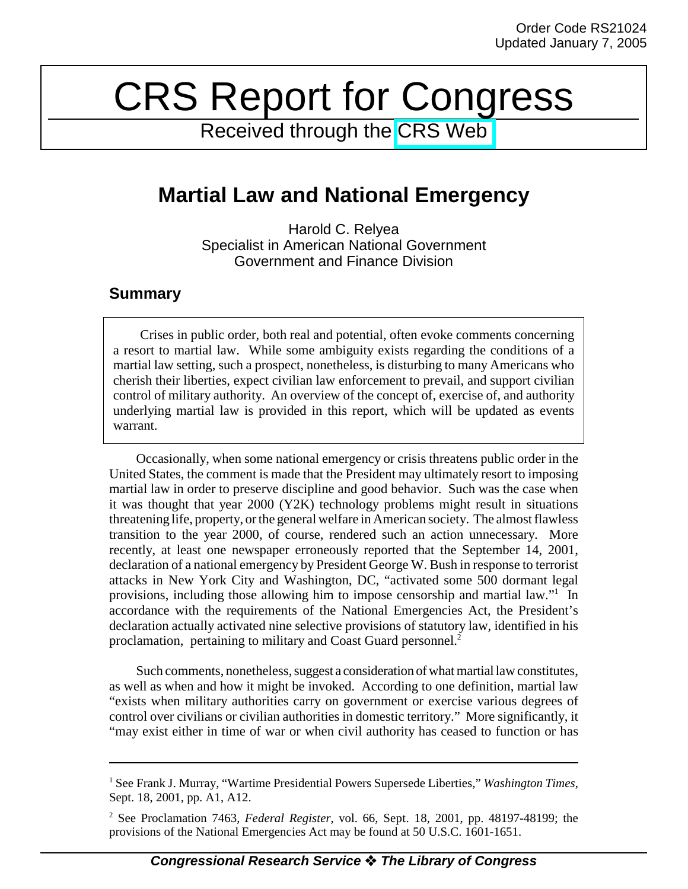# CRS Report for Congress

Received through the [CRS Web](http://www.fas.org/sgp/crs/index.html)

## **Martial Law and National Emergency**

Harold C. Relyea Specialist in American National Government Government and Finance Division

### **Summary**

Crises in public order, both real and potential, often evoke comments concerning a resort to martial law. While some ambiguity exists regarding the conditions of a martial law setting, such a prospect, nonetheless, is disturbing to many Americans who cherish their liberties, expect civilian law enforcement to prevail, and support civilian control of military authority. An overview of the concept of, exercise of, and authority underlying martial law is provided in this report, which will be updated as events warrant.

Occasionally, when some national emergency or crisis threatens public order in the United States, the comment is made that the President may ultimately resort to imposing martial law in order to preserve discipline and good behavior. Such was the case when it was thought that year 2000 (Y2K) technology problems might result in situations threatening life, property, or the general welfare in American society. The almost flawless transition to the year 2000, of course, rendered such an action unnecessary. More recently, at least one newspaper erroneously reported that the September 14, 2001, declaration of a national emergency by President George W. Bush in response to terrorist attacks in New York City and Washington, DC, "activated some 500 dormant legal provisions, including those allowing him to impose censorship and martial law."<sup>1</sup> In accordance with the requirements of the National Emergencies Act, the President's declaration actually activated nine selective provisions of statutory law, identified in his proclamation, pertaining to military and Coast Guard personnel.2

Such comments, nonetheless, suggest a consideration of what martial law constitutes, as well as when and how it might be invoked. According to one definition, martial law "exists when military authorities carry on government or exercise various degrees of control over civilians or civilian authorities in domestic territory." More significantly, it "may exist either in time of war or when civil authority has ceased to function or has

<sup>&</sup>lt;sup>1</sup> See Frank J. Murray, "Wartime Presidential Powers Supersede Liberties," Washington Times, Sept. 18, 2001, pp. A1, A12.

<sup>2</sup> See Proclamation 7463, *Federal Register*, vol. 66, Sept. 18, 2001, pp. 48197-48199; the provisions of the National Emergencies Act may be found at 50 U.S.C. 1601-1651.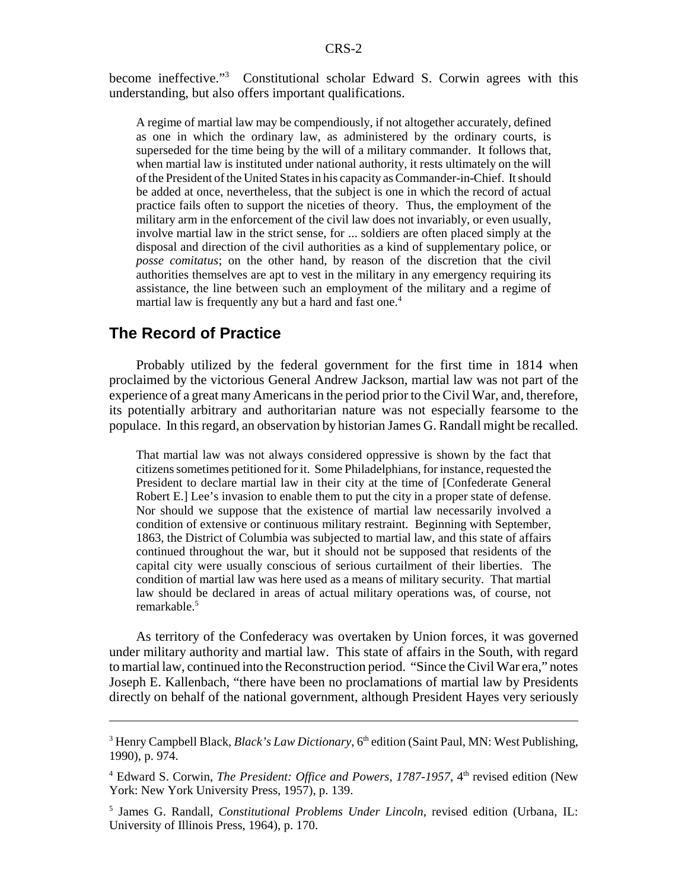become ineffective."<sup>3</sup> Constitutional scholar Edward S. Corwin agrees with this understanding, but also offers important qualifications.

A regime of martial law may be compendiously, if not altogether accurately, defined as one in which the ordinary law, as administered by the ordinary courts, is superseded for the time being by the will of a military commander. It follows that, when martial law is instituted under national authority, it rests ultimately on the will of the President of the United States in his capacity as Commander-in-Chief. It should be added at once, nevertheless, that the subject is one in which the record of actual practice fails often to support the niceties of theory. Thus, the employment of the military arm in the enforcement of the civil law does not invariably, or even usually, involve martial law in the strict sense, for ... soldiers are often placed simply at the disposal and direction of the civil authorities as a kind of supplementary police, or *posse comitatus*; on the other hand, by reason of the discretion that the civil authorities themselves are apt to vest in the military in any emergency requiring its assistance, the line between such an employment of the military and a regime of martial law is frequently any but a hard and fast one.<sup>4</sup>

#### **The Record of Practice**

Probably utilized by the federal government for the first time in 1814 when proclaimed by the victorious General Andrew Jackson, martial law was not part of the experience of a great many Americans in the period prior to the Civil War, and, therefore, its potentially arbitrary and authoritarian nature was not especially fearsome to the populace. In this regard, an observation by historian James G. Randall might be recalled.

That martial law was not always considered oppressive is shown by the fact that citizens sometimes petitioned for it. Some Philadelphians, for instance, requested the President to declare martial law in their city at the time of [Confederate General Robert E.] Lee's invasion to enable them to put the city in a proper state of defense. Nor should we suppose that the existence of martial law necessarily involved a condition of extensive or continuous military restraint. Beginning with September, 1863, the District of Columbia was subjected to martial law, and this state of affairs continued throughout the war, but it should not be supposed that residents of the capital city were usually conscious of serious curtailment of their liberties. The condition of martial law was here used as a means of military security. That martial law should be declared in areas of actual military operations was, of course, not remarkable.<sup>5</sup>

As territory of the Confederacy was overtaken by Union forces, it was governed under military authority and martial law. This state of affairs in the South, with regard to martial law, continued into the Reconstruction period. "Since the Civil War era," notes Joseph E. Kallenbach, "there have been no proclamations of martial law by Presidents directly on behalf of the national government, although President Hayes very seriously

<sup>&</sup>lt;sup>3</sup> Henry Campbell Black, *Black's Law Dictionary*, 6<sup>th</sup> edition (Saint Paul, MN: West Publishing, 1990), p. 974.

<sup>&</sup>lt;sup>4</sup> Edward S. Corwin, *The President: Office and Powers, 1787-1957*, 4<sup>th</sup> revised edition (New York: New York University Press, 1957), p. 139.

<sup>5</sup> James G. Randall, *Constitutional Problems Under Lincoln*, revised edition (Urbana, IL: University of Illinois Press, 1964), p. 170.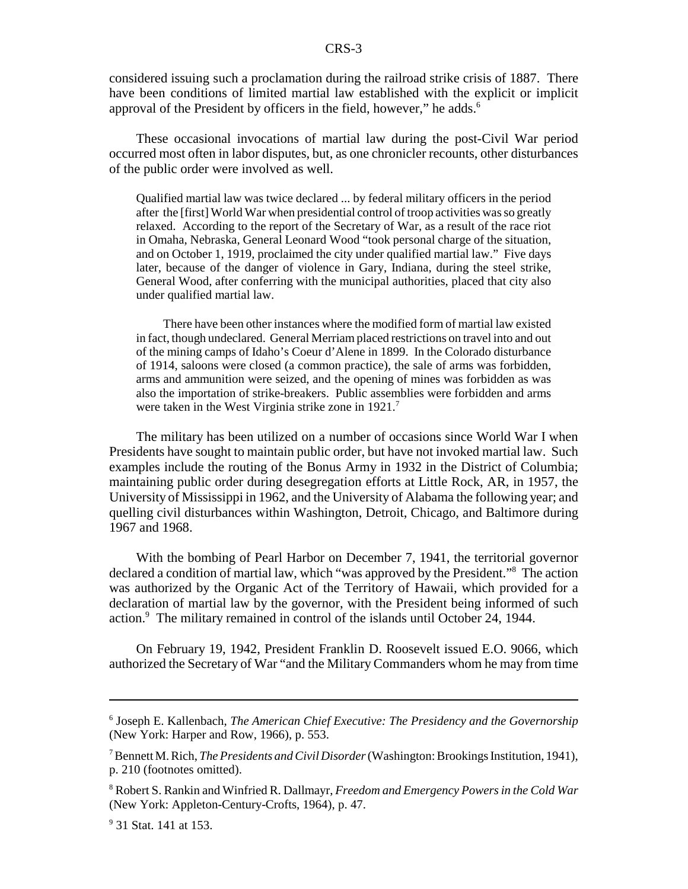considered issuing such a proclamation during the railroad strike crisis of 1887. There have been conditions of limited martial law established with the explicit or implicit approval of the President by officers in the field, however," he adds.<sup>6</sup>

These occasional invocations of martial law during the post-Civil War period occurred most often in labor disputes, but, as one chronicler recounts, other disturbances of the public order were involved as well.

Qualified martial law was twice declared ... by federal military officers in the period after the [first] World War when presidential control of troop activities was so greatly relaxed. According to the report of the Secretary of War, as a result of the race riot in Omaha, Nebraska, General Leonard Wood "took personal charge of the situation, and on October 1, 1919, proclaimed the city under qualified martial law." Five days later, because of the danger of violence in Gary, Indiana, during the steel strike, General Wood, after conferring with the municipal authorities, placed that city also under qualified martial law.

There have been other instances where the modified form of martial law existed in fact, though undeclared. General Merriam placed restrictions on travel into and out of the mining camps of Idaho's Coeur d'Alene in 1899. In the Colorado disturbance of 1914, saloons were closed (a common practice), the sale of arms was forbidden, arms and ammunition were seized, and the opening of mines was forbidden as was also the importation of strike-breakers. Public assemblies were forbidden and arms were taken in the West Virginia strike zone in 1921.<sup>7</sup>

The military has been utilized on a number of occasions since World War I when Presidents have sought to maintain public order, but have not invoked martial law. Such examples include the routing of the Bonus Army in 1932 in the District of Columbia; maintaining public order during desegregation efforts at Little Rock, AR, in 1957, the University of Mississippi in 1962, and the University of Alabama the following year; and quelling civil disturbances within Washington, Detroit, Chicago, and Baltimore during 1967 and 1968.

With the bombing of Pearl Harbor on December 7, 1941, the territorial governor declared a condition of martial law, which "was approved by the President."8 The action was authorized by the Organic Act of the Territory of Hawaii, which provided for a declaration of martial law by the governor, with the President being informed of such action.<sup>9</sup> The military remained in control of the islands until October 24, 1944.

On February 19, 1942, President Franklin D. Roosevelt issued E.O. 9066, which authorized the Secretary of War "and the Military Commanders whom he may from time

<sup>6</sup> Joseph E. Kallenbach, *The American Chief Executive: The Presidency and the Governorship* (New York: Harper and Row, 1966), p. 553.

<sup>7</sup> Bennett M. Rich, *The Presidents and Civil Disorder* (Washington: Brookings Institution, 1941), p. 210 (footnotes omitted).

<sup>8</sup> Robert S. Rankin and Winfried R. Dallmayr, *Freedom and Emergency Powers in the Cold War* (New York: Appleton-Century-Crofts, 1964), p. 47.

<sup>&</sup>lt;sup>9</sup> 31 Stat. 141 at 153.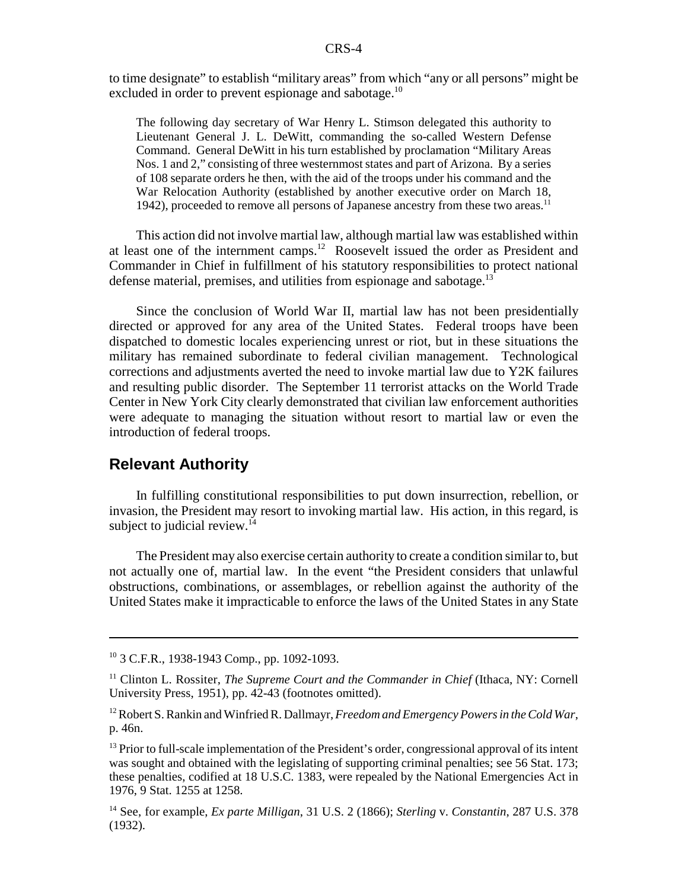to time designate" to establish "military areas" from which "any or all persons" might be excluded in order to prevent espionage and sabotage.<sup>10</sup>

The following day secretary of War Henry L. Stimson delegated this authority to Lieutenant General J. L. DeWitt, commanding the so-called Western Defense Command. General DeWitt in his turn established by proclamation "Military Areas Nos. 1 and 2," consisting of three westernmost states and part of Arizona. By a series of 108 separate orders he then, with the aid of the troops under his command and the War Relocation Authority (established by another executive order on March 18, 1942), proceeded to remove all persons of Japanese ancestry from these two areas.<sup>11</sup>

This action did not involve martial law, although martial law was established within at least one of the internment camps.12 Roosevelt issued the order as President and Commander in Chief in fulfillment of his statutory responsibilities to protect national defense material, premises, and utilities from espionage and sabotage.<sup>13</sup>

Since the conclusion of World War II, martial law has not been presidentially directed or approved for any area of the United States. Federal troops have been dispatched to domestic locales experiencing unrest or riot, but in these situations the military has remained subordinate to federal civilian management. Technological corrections and adjustments averted the need to invoke martial law due to Y2K failures and resulting public disorder. The September 11 terrorist attacks on the World Trade Center in New York City clearly demonstrated that civilian law enforcement authorities were adequate to managing the situation without resort to martial law or even the introduction of federal troops.

#### **Relevant Authority**

In fulfilling constitutional responsibilities to put down insurrection, rebellion, or invasion, the President may resort to invoking martial law. His action, in this regard, is subject to judicial review. $14$ 

The President may also exercise certain authority to create a condition similar to, but not actually one of, martial law. In the event "the President considers that unlawful obstructions, combinations, or assemblages, or rebellion against the authority of the United States make it impracticable to enforce the laws of the United States in any State

<sup>10 3</sup> C.F.R., 1938-1943 Comp., pp. 1092-1093.

<sup>&</sup>lt;sup>11</sup> Clinton L. Rossiter, *The Supreme Court and the Commander in Chief* (Ithaca, NY: Cornell University Press, 1951), pp. 42-43 (footnotes omitted).

<sup>12</sup> Robert S. Rankin and Winfried R. Dallmayr, *Freedom and Emergency Powers in the Cold War*, p. 46n.

 $<sup>13</sup>$  Prior to full-scale implementation of the President's order, congressional approval of its intent</sup> was sought and obtained with the legislating of supporting criminal penalties; see 56 Stat. 173; these penalties, codified at 18 U.S.C. 1383, were repealed by the National Emergencies Act in 1976, 9 Stat. 1255 at 1258.

<sup>14</sup> See, for example, *Ex parte Milligan*, 31 U.S. 2 (1866); *Sterling* v. *Constantin*, 287 U.S. 378 (1932).